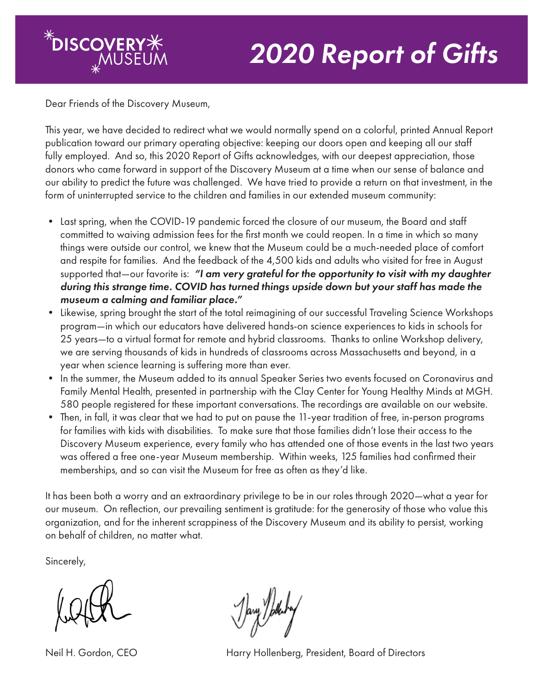



Dear Friends of the Discovery Museum,

This year, we have decided to redirect what we would normally spend on a colorful, printed Annual Report publication toward our primary operating objective: keeping our doors open and keeping all our staff fully employed. And so, this 2020 Report of Gifts acknowledges, with our deepest appreciation, those donors who came forward in support of the Discovery Museum at a time when our sense of balance and our ability to predict the future was challenged. We have tried to provide a return on that investment, in the form of uninterrupted service to the children and families in our extended museum community:

- Last spring, when the COVID-19 pandemic forced the closure of our museum, the Board and staff committed to waiving admission fees for the first month we could reopen. In a time in which so many things were outside our control, we knew that the Museum could be a much-needed place of comfort and respite for families. And the feedback of the 4,500 kids and adults who visited for free in August supported that—our favorite is: *"I am very grateful for the opportunity to visit with my daughter during this strange time. COVID has turned things upside down but your staff has made the museum a calming and familiar place."*
- Likewise, spring brought the start of the total reimagining of our successful Traveling Science Workshops program—in which our educators have delivered hands-on science experiences to kids in schools for 25 years—to a virtual format for remote and hybrid classrooms. Thanks to online Workshop delivery, we are serving thousands of kids in hundreds of classrooms across Massachusetts and beyond, in a year when science learning is suffering more than ever.
- In the summer, the Museum added to its annual Speaker Series two events focused on Coronavirus and Family Mental Health, presented in partnership with the Clay Center for Young Healthy Minds at MGH. 580 people registered for these important conversations. The recordings are available on our website.
- Then, in fall, it was clear that we had to put on pause the 11-year tradition of free, in-person programs for families with kids with disabilities. To make sure that those families didn't lose their access to the Discovery Museum experience, every family who has attended one of those events in the last two years was offered a free one-year Museum membership. Within weeks, 125 families had confirmed their memberships, and so can visit the Museum for free as often as they'd like.

It has been both a worry and an extraordinary privilege to be in our roles through 2020—what a year for our museum. On reflection, our prevailing sentiment is gratitude: for the generosity of those who value this organization, and for the inherent scrappiness of the Discovery Museum and its ability to persist, working on behalf of children, no matter what.

Sincerely,

Neil H. Gordon, CEO **Harry Hollenberg, President, Board of Directors**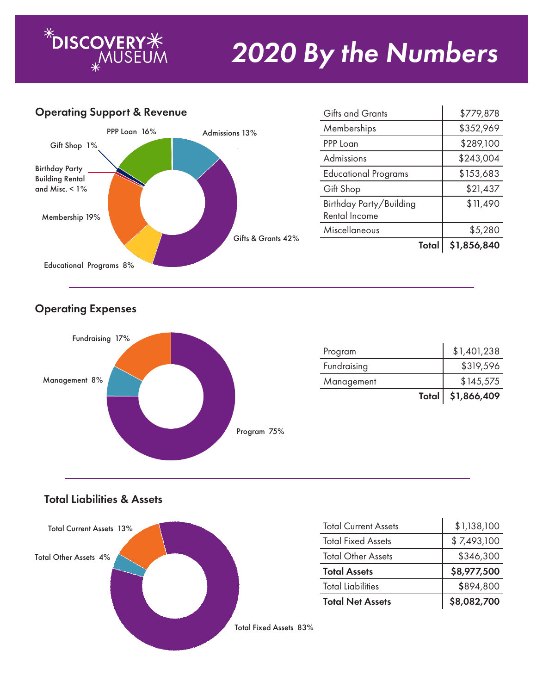

# *2020 By the Numbers*

#### Operating Support & Revenue



| <b>Gifts and Grants</b>                         | \$779,878   |
|-------------------------------------------------|-------------|
| Memberships                                     | \$352,969   |
| PPP Loan                                        | \$289,100   |
| <b>Admissions</b>                               | \$243,004   |
| <b>Educational Programs</b>                     | \$153,683   |
| Gift Shop                                       | \$21,437    |
| Birthday Party/Building<br><b>Rental Income</b> | \$11,490    |
| <b>Miscellaneous</b>                            | \$5,280     |
| Total                                           | \$1,856,840 |

Operating Expenses



|             | Total   \$1,866,409 |
|-------------|---------------------|
| Management  | \$145,575           |
| Fundraising | \$319,596           |
| Program     | \$1,401,238         |

### Total Liabilities & Assets



| <b>Total Current Assets</b> | \$1,138,100 |
|-----------------------------|-------------|
| <b>Total Fixed Assets</b>   | \$7,493,100 |
| <b>Total Other Assets</b>   | \$346,300   |
|                             |             |
| <b>Total Assets</b>         | \$8,977,500 |
| <b>Total Liabilities</b>    | \$894,800   |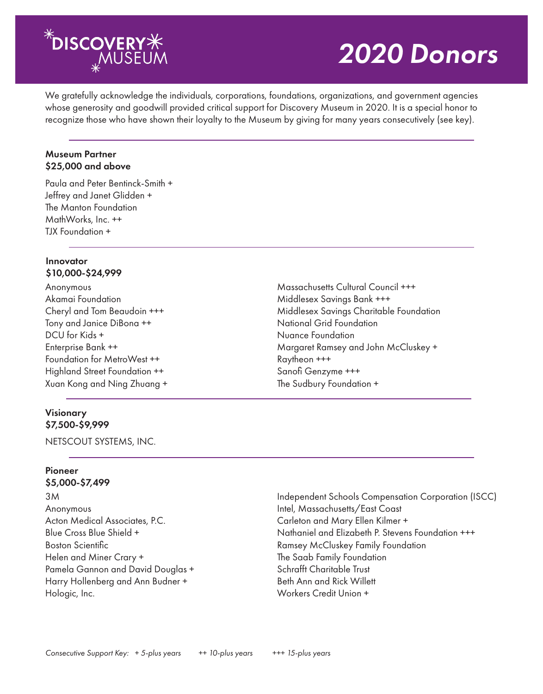

We gratefully acknowledge the individuals, corporations, foundations, organizations, and government agencies whose generosity and goodwill provided critical support for Discovery Museum in 2020. It is a special honor to recognize those who have shown their loyalty to the Museum by giving for many years consecutively (see key).

#### Museum Partner \$25,000 and above

Paula and Peter Bentinck-Smith + Jeffrey and Janet Glidden + The Manton Foundation MathWorks, Inc. ++ TJX Foundation +

#### Innovator \$10,000-\$24,999

Anonymous Akamai Foundation Cheryl and Tom Beaudoin +++ Tony and Janice DiBona ++ DCU for Kids + Enterprise Bank ++ Foundation for MetroWest ++ Highland Street Foundation ++ Xuan Kong and Ning Zhuang +

#### Visionary \$7,500-\$9,999

NETSCOUT SYSTEMS, INC.

#### Pioneer \$5,000-\$7,499

3M Anonymous Acton Medical Associates, P.C. Blue Cross Blue Shield + Boston Scientific Helen and Miner Crary + Pamela Gannon and David Douglas + Harry Hollenberg and Ann Budner + Hologic, Inc.

Massachusetts Cultural Council +++ Middlesex Savings Bank +++ Middlesex Savings Charitable Foundation National Grid Foundation Nuance Foundation Margaret Ramsey and John McCluskey + Raytheon +++ Sanofi Genzyme +++ The Sudbury Foundation +

Independent Schools Compensation Corporation (ISCC) Intel, Massachusetts/East Coast Carleton and Mary Ellen Kilmer + Nathaniel and Elizabeth P. Stevens Foundation +++ Ramsey McCluskey Family Foundation The Saab Family Foundation Schrafft Charitable Trust Beth Ann and Rick Willett Workers Credit Union +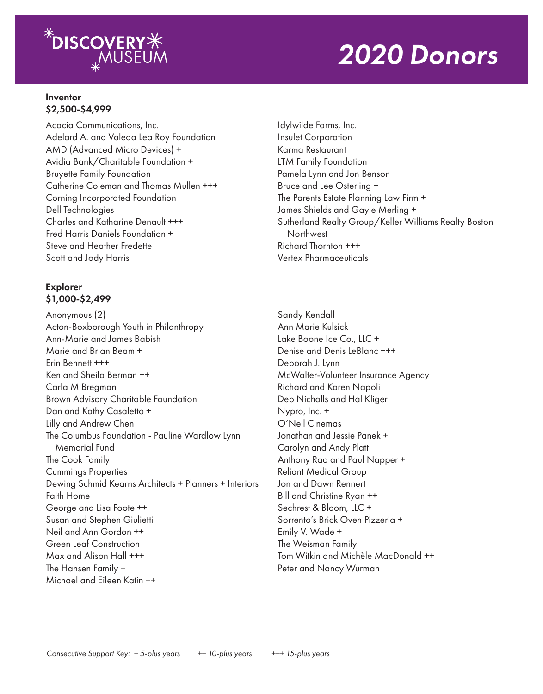

#### Inventor \$2,500-\$4,999

Acacia Communications, Inc. Adelard A. and Valeda Lea Roy Foundation AMD (Advanced Micro Devices) + Avidia Bank/Charitable Foundation + Bruyette Family Foundation Catherine Coleman and Thomas Mullen +++ Corning Incorporated Foundation Dell Technologies Charles and Katharine Denault +++ Fred Harris Daniels Foundation + Steve and Heather Fredette Scott and Jody Harris

#### Explorer \$1,000-\$2,499

Anonymous (2) Acton-Boxborough Youth in Philanthropy Ann-Marie and James Babish Marie and Brian Beam + Erin Bennett +++ Ken and Sheila Berman ++ Carla M Bregman Brown Advisory Charitable Foundation Dan and Kathy Casaletto + Lilly and Andrew Chen The Columbus Foundation - Pauline Wardlow Lynn Memorial Fund The Cook Family Cummings Properties Dewing Schmid Kearns Architects + Planners + Interiors Faith Home George and Lisa Foote ++ Susan and Stephen Giulietti Neil and Ann Gordon ++ Green Leaf Construction Max and Alison Hall +++ The Hansen Family + Michael and Eileen Katin ++

Idylwilde Farms, Inc. Insulet Corporation Karma Restaurant LTM Family Foundation Pamela Lynn and Jon Benson Bruce and Lee Osterling + The Parents Estate Planning Law Firm + James Shields and Gayle Merling + Sutherland Realty Group/Keller Williams Realty Boston **Northwest** Richard Thornton +++ Vertex Pharmaceuticals

Sandy Kendall Ann Marie Kulsick Lake Boone Ice Co., LLC + Denise and Denis LeBlanc +++ Deborah J. Lynn McWalter-Volunteer Insurance Agency Richard and Karen Napoli Deb Nicholls and Hal Kliger Nypro, Inc. + O'Neil Cinemas Jonathan and Jessie Panek + Carolyn and Andy Platt Anthony Rao and Paul Napper + Reliant Medical Group Jon and Dawn Rennert Bill and Christine Ryan ++ Sechrest & Bloom, LLC + Sorrento's Brick Oven Pizzeria + Emily V. Wade + The Weisman Family Tom Witkin and Michèle MacDonald ++ Peter and Nancy Wurman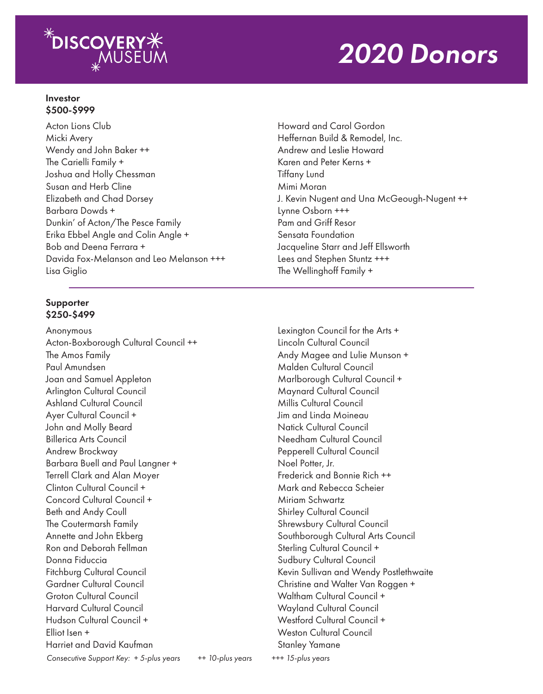

#### Investor \$500-\$999

Acton Lions Club Micki Avery Wendy and John Baker ++ The Carielli Family + Joshua and Holly Chessman Susan and Herb Cline Elizabeth and Chad Dorsey Barbara Dowds + Dunkin' of Acton/The Pesce Family Erika Ebbel Angle and Colin Angle + Bob and Deena Ferrara + Davida Fox-Melanson and Leo Melanson +++ Lisa Giglio

#### Supporter \$250-\$499

Anonymous Acton-Boxborough Cultural Council ++ The Amos Family Paul Amundsen Joan and Samuel Appleton Arlington Cultural Council Ashland Cultural Council Ayer Cultural Council + John and Molly Beard Billerica Arts Council Andrew Brockway Barbara Buell and Paul Langner + Terrell Clark and Alan Moyer Clinton Cultural Council + Concord Cultural Council + Beth and Andy Coull The Coutermarsh Family Annette and John Ekberg Ron and Deborah Fellman Donna Fiduccia Fitchburg Cultural Council Gardner Cultural Council Groton Cultural Council Harvard Cultural Council Hudson Cultural Council + Elliot Isen + Harriet and David Kaufman

Howard and Carol Gordon Heffernan Build & Remodel, Inc. Andrew and Leslie Howard Karen and Peter Kerns + Tiffany Lund Mimi Moran J. Kevin Nugent and Una McGeough-Nugent ++ Lynne Osborn +++ Pam and Griff Resor Sensata Foundation Jacqueline Starr and Jeff Ellsworth Lees and Stephen Stuntz +++ The Wellinghoff Family +

Lexington Council for the Arts + Lincoln Cultural Council Andy Magee and Lulie Munson + Malden Cultural Council Marlborough Cultural Council + Maynard Cultural Council Millis Cultural Council Jim and Linda Moineau Natick Cultural Council Needham Cultural Council Pepperell Cultural Council Noel Potter, Jr. Frederick and Bonnie Rich ++ Mark and Rebecca Scheier Miriam Schwartz Shirley Cultural Council Shrewsbury Cultural Council Southborough Cultural Arts Council Sterling Cultural Council + Sudbury Cultural Council Kevin Sullivan and Wendy Postlethwaite Christine and Walter Van Roggen + Waltham Cultural Council + Wayland Cultural Council Westford Cultural Council + Weston Cultural Council Stanley Yamane

*Consecutive Support Key: + 5-plus years ++ 10-plus years +++ 15-plus years*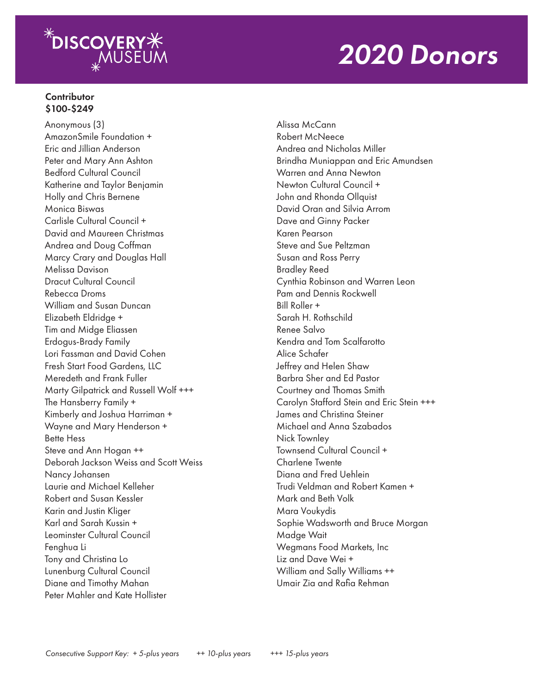

#### **Contributor** \$100-\$249

Anonymous (3) AmazonSmile Foundation + Eric and Jillian Anderson Peter and Mary Ann Ashton Bedford Cultural Council Katherine and Taylor Benjamin Holly and Chris Bernene Monica Biswas Carlisle Cultural Council + David and Maureen Christmas Andrea and Doug Coffman Marcy Crary and Douglas Hall Melissa Davison Dracut Cultural Council Rebecca Droms William and Susan Duncan Elizabeth Eldridge + Tim and Midge Eliassen Erdogus-Brady Family Lori Fassman and David Cohen Fresh Start Food Gardens, LLC Meredeth and Frank Fuller Marty Gilpatrick and Russell Wolf +++ The Hansberry Family + Kimberly and Joshua Harriman + Wayne and Mary Henderson + Bette Hess Steve and Ann Hogan ++ Deborah Jackson Weiss and Scott Weiss Nancy Johansen Laurie and Michael Kelleher Robert and Susan Kessler Karin and Justin Kliger Karl and Sarah Kussin + Leominster Cultural Council Fenghua Li Tony and Christina Lo Lunenburg Cultural Council Diane and Timothy Mahan Peter Mahler and Kate Hollister

Alissa McCann Robert McNeece Andrea and Nicholas Miller Brindha Muniappan and Eric Amundsen Warren and Anna Newton Newton Cultural Council + John and Rhonda Ollquist David Oran and Silvia Arrom Dave and Ginny Packer Karen Pearson Steve and Sue Peltzman Susan and Ross Perry Bradley Reed Cynthia Robinson and Warren Leon Pam and Dennis Rockwell Bill Roller + Sarah H. Rothschild Renee Salvo Kendra and Tom Scalfarotto Alice Schafer Jeffrey and Helen Shaw Barbra Sher and Ed Pastor Courtney and Thomas Smith Carolyn Stafford Stein and Eric Stein +++ James and Christina Steiner Michael and Anna Szabados Nick Townley Townsend Cultural Council + Charlene Twente Diana and Fred Uehlein Trudi Veldman and Robert Kamen + Mark and Beth Volk Mara Voukydis Sophie Wadsworth and Bruce Morgan Madge Wait Wegmans Food Markets, Inc Liz and Dave Wei + William and Sally Williams ++ Umair Zia and Rafia Rehman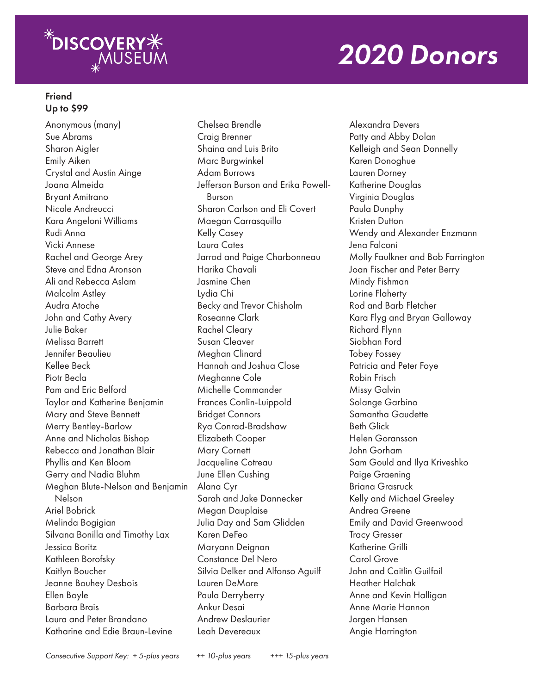

#### **Friend** Up to \$99

Anonymous (many) Sue Abrams Sharon Aigler Emily Aiken Crystal and Austin Ainge Joana Almeida Bryant Amitrano Nicole Andreucci Kara Angeloni Williams Rudi Anna Vicki Annese Rachel and George Arey Steve and Edna Aronson Ali and Rebecca Aslam Malcolm Astley Audra Atoche John and Cathy Avery Julie Baker Melissa Barrett Jennifer Beaulieu Kellee Beck Piotr Becla Pam and Eric Belford Taylor and Katherine Benjamin Mary and Steve Bennett Merry Bentley-Barlow Anne and Nicholas Bishop Rebecca and Jonathan Blair Phyllis and Ken Bloom Gerry and Nadia Bluhm Meghan Blute-Nelson and Benjamin Nelson Ariel Bobrick Melinda Bogigian Silvana Bonilla and Timothy Lax Jessica Boritz Kathleen Borofsky Kaitlyn Boucher Jeanne Bouhey Desbois Ellen Boyle Barbara Brais Laura and Peter Brandano Katharine and Edie Braun-Levine

Chelsea Brendle Craig Brenner Shaina and Luis Brito Marc Burgwinkel Adam Burrows Jefferson Burson and Erika Powell- Burson Sharon Carlson and Eli Covert Maegan Carrasquillo Kelly Casey Laura Cates Jarrod and Paige Charbonneau Harika Chavali Jasmine Chen Lydia Chi Becky and Trevor Chisholm Roseanne Clark Rachel Cleary Susan Cleaver Meghan Clinard Hannah and Joshua Close Meghanne Cole Michelle Commander Frances Conlin-Luippold Bridget Connors Rya Conrad-Bradshaw Elizabeth Cooper Mary Cornett Jacqueline Cotreau June Ellen Cushing Alana Cyr Sarah and Jake Dannecker Megan Dauplaise Julia Day and Sam Glidden Karen DeFeo Maryann Deignan Constance Del Nero Silvia Delker and Alfonso Aguilf Lauren DeMore Paula Derryberry Ankur Desai Andrew Deslaurier Leah Devereaux

Alexandra Devers Patty and Abby Dolan Kelleigh and Sean Donnelly Karen Donoghue Lauren Dorney Katherine Douglas Virginia Douglas Paula Dunphy Kristen Dutton Wendy and Alexander Enzmann Jena Falconi Molly Faulkner and Bob Farrington Joan Fischer and Peter Berry Mindy Fishman Lorine Flaherty Rod and Barb Fletcher Kara Flyg and Bryan Galloway Richard Flynn Siobhan Ford Tobey Fossey Patricia and Peter Foye Robin Frisch Missy Galvin Solange Garbino Samantha Gaudette Beth Glick Helen Goransson John Gorham Sam Gould and Ilya Kriveshko Paige Graening Briana Grasruck Kelly and Michael Greeley Andrea Greene Emily and David Greenwood Tracy Gresser Katherine Grilli Carol Grove John and Caitlin Guilfoil Heather Halchak Anne and Kevin Halligan Anne Marie Hannon Jorgen Hansen Angie Harrington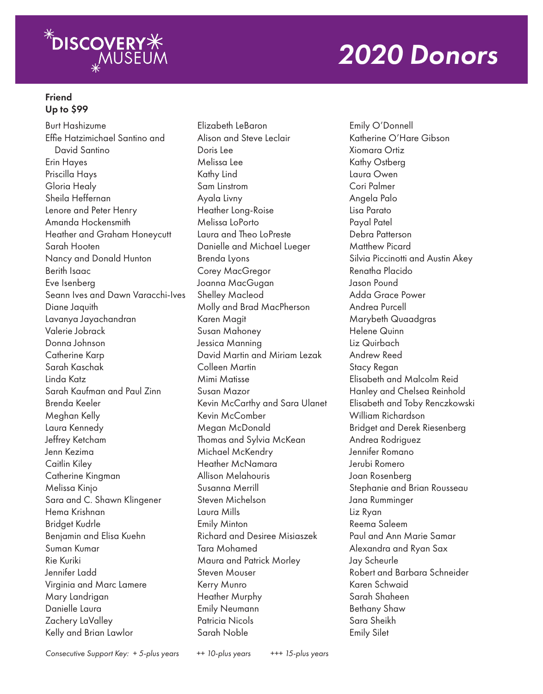

#### Friend Up to \$99

Burt Hashizume Effie Hatzimichael Santino and David Santino Erin Hayes Priscilla Hays Gloria Healy Sheila Heffernan Lenore and Peter Henry Amanda Hockensmith Heather and Graham Honeycutt Sarah Hooten Nancy and Donald Hunton Berith Isaac Eve Isenberg Seann Ives and Dawn Varacchi-Ives Diane Jaquith Lavanya Jayachandran Valerie Jobrack Donna Johnson Catherine Karp Sarah Kaschak Linda Katz Sarah Kaufman and Paul Zinn Brenda Keeler Meghan Kelly Laura Kennedy Jeffrey Ketcham Jenn Kezima Caitlin Kiley Catherine Kingman Melissa Kinjo Sara and C. Shawn Klingener Hema Krishnan Bridget Kudrle Benjamin and Elisa Kuehn Suman Kumar Rie Kuriki Jennifer Ladd Virginia and Marc Lamere Mary Landrigan Danielle Laura Zachery LaValley Kelly and Brian Lawlor

Elizabeth LeBaron Alison and Steve Leclair Doris Lee Melissa Lee Kathy Lind Sam Linstrom Ayala Livny Heather Long-Roise Melissa LoPorto Laura and Theo LoPreste Danielle and Michael Lueger Brenda Lyons Corey MacGregor Joanna MacGugan Shelley Macleod Molly and Brad MacPherson Karen Magit Susan Mahoney Jessica Manning David Martin and Miriam Lezak Colleen Martin Mimi Matisse Susan Mazor Kevin McCarthy and Sara Ulanet Kevin McComber Megan McDonald Thomas and Sylvia McKean Michael McKendry Heather McNamara Allison Melahouris Susanna Merrill Steven Michelson Laura Mills Emily Minton Richard and Desiree Misiaszek Tara Mohamed Maura and Patrick Morley Steven Mouser Kerry Munro Heather Murphy Emily Neumann Patricia Nicols Sarah Noble

Emily O'Donnell Katherine O'Hare Gibson Xiomara Ortiz Kathy Ostberg Laura Owen Cori Palmer Angela Palo Lisa Parato Payal Patel Debra Patterson Matthew Picard Silvia Piccinotti and Austin Akey Renatha Placido Jason Pound Adda Grace Power Andrea Purcell Marybeth Quaadgras Helene Quinn Liz Quirbach Andrew Reed Stacy Regan Elisabeth and Malcolm Reid Hanley and Chelsea Reinhold Elisabeth and Toby Renczkowski William Richardson Bridget and Derek Riesenberg Andrea Rodriguez Jennifer Romano Jerubi Romero Joan Rosenberg Stephanie and Brian Rousseau Jana Rumminger Liz Ryan Reema Saleem Paul and Ann Marie Samar Alexandra and Ryan Sax Jay Scheurle Robert and Barbara Schneider Karen Schwaid Sarah Shaheen Bethany Shaw Sara Sheikh Emily Silet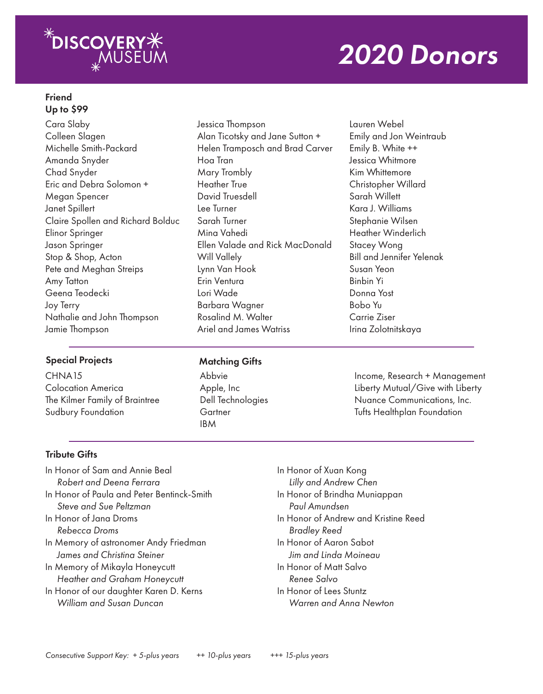

#### Friend Up to \$99

Cara Slaby Colleen Slagen Michelle Smith-Packard Amanda Snyder Chad Snyder Eric and Debra Solomon + Megan Spencer Janet Spillert Claire Spollen and Richard Bolduc Elinor Springer Jason Springer Stop & Shop, Acton Pete and Meghan Streips Amy Tatton Geena Teodecki Joy Terry Nathalie and John Thompson Jamie Thompson

#### Special Projects Matching Gifts

CHNA15 Colocation America The Kilmer Family of Braintree Sudbury Foundation

Jessica Thompson Alan Ticotsky and Jane Sutton + Helen Tramposch and Brad Carver Hoa Tran Mary Trombly Heather True David Truesdell Lee Turner Sarah Turner Mina Vahedi Ellen Valade and Rick MacDonald Will Vallely Lynn Van Hook Erin Ventura Lori Wade Barbara Wagner Rosalind M. Walter Ariel and James Watriss

Lauren Webel Emily and Jon Weintraub Emily B. White ++ Jessica Whitmore Kim Whittemore Christopher Willard Sarah Willett Kara J. Williams Stephanie Wilsen Heather Winderlich Stacey Wong Bill and Jennifer Yelenak Susan Yeon Binbin Yi Donna Yost Bobo Yu Carrie Ziser Irina Zolotnitskaya

Abbvie Apple, Inc Dell Technologies **Gartner** IBM

Income, Research + Management Liberty Mutual/Give with Liberty Nuance Communications, Inc. Tufts Healthplan Foundation

#### Tribute Gifts

- In Honor of Sam and Annie Beal  *Robert and Deena Ferrara* In Honor of Paula and Peter Bentinck-Smith  *Steve and Sue Peltzman* In Honor of Jana Droms  *Rebecca Droms* In Memory of astronomer Andy Friedman  *James and Christina Steiner* In Memory of Mikayla Honeycutt  *Heather and Graham Honeycutt*
- In Honor of our daughter Karen D. Kerns  *William and Susan Duncan*
- In Honor of Xuan Kong  *Lilly and Andrew Chen* In Honor of Brindha Muniappan  *Paul Amundsen* In Honor of Andrew and Kristine Reed  *Bradley Reed* In Honor of Aaron Sabot  *Jim and Linda Moineau* In Honor of Matt Salvo  *Renee Salvo*
- In Honor of Lees Stuntz  *Warren and Anna Newton*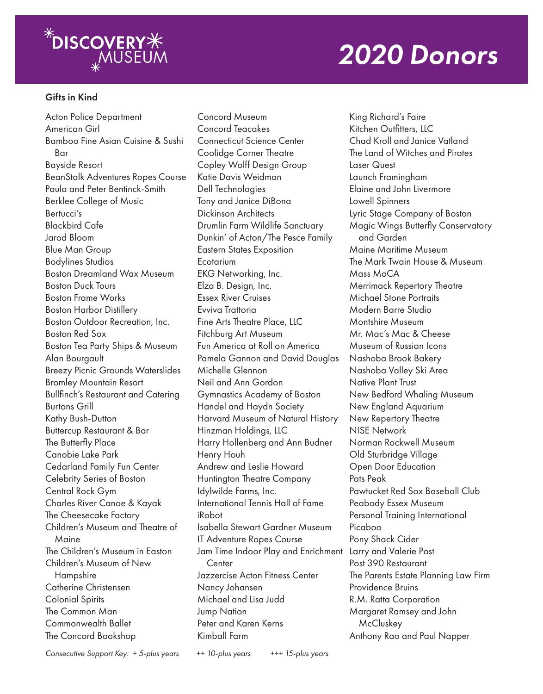

#### Gifts in Kind

Acton Police Department American Girl Bamboo Fine Asian Cuisine & Sushi Bar Bayside Resort BeanStalk Adventures Ropes Course Paula and Peter Bentinck-Smith Berklee College of Music Bertucci's Blackbird Cafe Jarod Bloom Blue Man Group Bodylines Studios Boston Dreamland Wax Museum Boston Duck Tours Boston Frame Works Boston Harbor Distillery Boston Outdoor Recreation, Inc. Boston Red Sox Boston Tea Party Ships & Museum Alan Bourgault Breezy Picnic Grounds Waterslides Bromley Mountain Resort Bullfinch's Restaurant and Catering Burtons Grill Kathy Bush-Dutton Buttercup Restaurant & Bar The Butterfly Place Canobie Lake Park Cedarland Family Fun Center Celebrity Series of Boston Central Rock Gym Charles River Canoe & Kayak The Cheesecake Factory Children's Museum and Theatre of Maine The Children's Museum in Easton Children's Museum of New Hampshire Catherine Christensen Colonial Spirits The Common Man Commonwealth Ballet The Concord Bookshop

Concord Museum Concord Teacakes Connecticut Science Center Coolidge Corner Theatre Copley Wolff Design Group Katie Davis Weidman Dell Technologies Tony and Janice DiBona Dickinson Architects Drumlin Farm Wildlife Sanctuary Dunkin' of Acton/The Pesce Family Eastern States Exposition **Ecotarium** EKG Networking, Inc. Elza B. Design, Inc. Essex River Cruises Evviva Trattoria Fine Arts Theatre Place, LLC Fitchburg Art Museum Fun America at Roll on America Pamela Gannon and David Douglas Michelle Glennon Neil and Ann Gordon Gymnastics Academy of Boston Handel and Haydn Society Harvard Museum of Natural History Hinzman Holdings, LLC Harry Hollenberg and Ann Budner Henry Houh Andrew and Leslie Howard Huntington Theatre Company Idylwilde Farms, Inc. International Tennis Hall of Fame iRobot Isabella Stewart Gardner Museum IT Adventure Ropes Course Jam Time Indoor Play and Enrichment Center Jazzercise Acton Fitness Center Nancy Johansen Michael and Lisa Judd Jump Nation Peter and Karen Kerns Kimball Farm

King Richard's Faire Kitchen Outfitters, LLC Chad Kroll and Janice Vatland The Land of Witches and Pirates Laser Quest Launch Framingham Elaine and John Livermore Lowell Spinners Lyric Stage Company of Boston Magic Wings Butterfly Conservatory and Garden Maine Maritime Museum The Mark Twain House & Museum Mass MoCA Merrimack Repertory Theatre Michael Stone Portraits Modern Barre Studio Montshire Museum Mr. Mac's Mac & Cheese Museum of Russian Icons Nashoba Brook Bakery Nashoba Valley Ski Area Native Plant Trust New Bedford Whaling Museum New England Aquarium New Repertory Theatre NISE Network Norman Rockwell Museum Old Sturbridge Village Open Door Education Pats Peak Pawtucket Red Sox Baseball Club Peabody Essex Museum Personal Training International Picaboo Pony Shack Cider Larry and Valerie Post Post 390 Restaurant The Parents Estate Planning Law Firm Providence Bruins R.M. Ratta Corporation Margaret Ramsey and John **McCluskey** Anthony Rao and Paul Napper

*Consecutive Support Key: + 5-plus years ++ 10-plus years +++ 15-plus years*